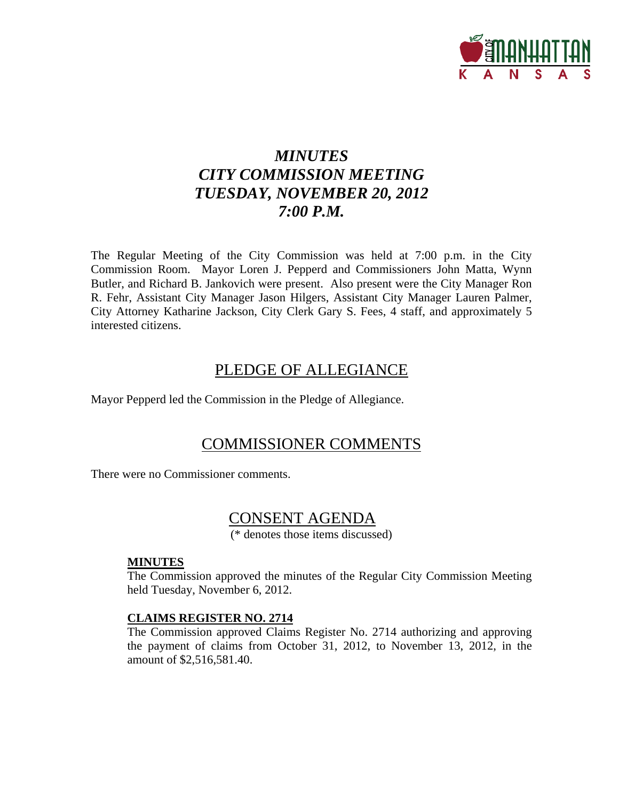

# *MINUTES CITY COMMISSION MEETING TUESDAY, NOVEMBER 20, 2012 7:00 P.M.*

The Regular Meeting of the City Commission was held at 7:00 p.m. in the City Commission Room. Mayor Loren J. Pepperd and Commissioners John Matta, Wynn Butler, and Richard B. Jankovich were present. Also present were the City Manager Ron R. Fehr, Assistant City Manager Jason Hilgers, Assistant City Manager Lauren Palmer, City Attorney Katharine Jackson, City Clerk Gary S. Fees, 4 staff, and approximately 5 interested citizens.

## PLEDGE OF ALLEGIANCE

Mayor Pepperd led the Commission in the Pledge of Allegiance.

## COMMISSIONER COMMENTS

There were no Commissioner comments.

## CONSENT AGENDA

(\* denotes those items discussed)

#### **MINUTES**

The Commission approved the minutes of the Regular City Commission Meeting held Tuesday, November 6, 2012.

## **CLAIMS REGISTER NO. 2714**

The Commission approved Claims Register No. 2714 authorizing and approving the payment of claims from October 31, 2012, to November 13, 2012, in the amount of \$2,516,581.40.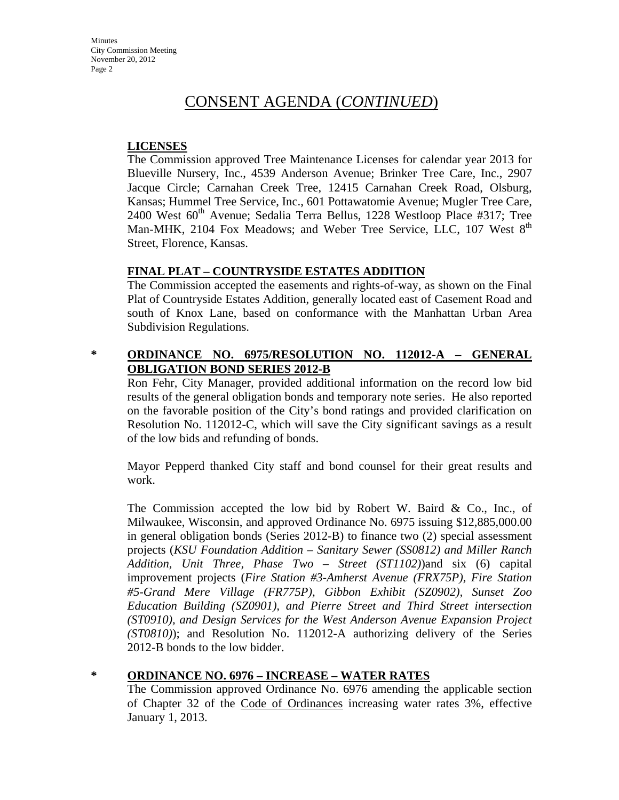### **LICENSES**

The Commission approved Tree Maintenance Licenses for calendar year 2013 for Blueville Nursery, Inc., 4539 Anderson Avenue; Brinker Tree Care, Inc., 2907 Jacque Circle; Carnahan Creek Tree, 12415 Carnahan Creek Road, Olsburg, Kansas; Hummel Tree Service, Inc., 601 Pottawatomie Avenue; Mugler Tree Care, 2400 West  $60<sup>th</sup>$  Avenue; Sedalia Terra Bellus, 1228 Westloop Place #317; Tree Man-MHK, 2104 Fox Meadows; and Weber Tree Service, LLC, 107 West 8<sup>th</sup> Street, Florence, Kansas.

## **FINAL PLAT – COUNTRYSIDE ESTATES ADDITION**

The Commission accepted the easements and rights-of-way, as shown on the Final Plat of Countryside Estates Addition, generally located east of Casement Road and south of Knox Lane, based on conformance with the Manhattan Urban Area Subdivision Regulations.

## **\* ORDINANCE NO. 6975/RESOLUTION NO. 112012-A – GENERAL OBLIGATION BOND SERIES 2012-B**

Ron Fehr, City Manager, provided additional information on the record low bid results of the general obligation bonds and temporary note series. He also reported on the favorable position of the City's bond ratings and provided clarification on Resolution No. 112012-C, which will save the City significant savings as a result of the low bids and refunding of bonds.

Mayor Pepperd thanked City staff and bond counsel for their great results and work.

The Commission accepted the low bid by Robert W. Baird & Co., Inc., of Milwaukee, Wisconsin, and approved Ordinance No. 6975 issuing \$12,885,000.00 in general obligation bonds (Series 2012-B) to finance two (2) special assessment projects (*KSU Foundation Addition – Sanitary Sewer (SS0812) and Miller Ranch Addition, Unit Three, Phase Two – Street (ST1102)*)and six (6) capital improvement projects (*Fire Station #3-Amherst Avenue (FRX75P), Fire Station #5-Grand Mere Village (FR775P), Gibbon Exhibit (SZ0902), Sunset Zoo Education Building (SZ0901), and Pierre Street and Third Street intersection (ST0910), and Design Services for the West Anderson Avenue Expansion Project (ST0810)*); and Resolution No. 112012-A authorizing delivery of the Series 2012-B bonds to the low bidder.

#### **\* ORDINANCE NO. 6976 – INCREASE – WATER RATES**

The Commission approved Ordinance No. 6976 amending the applicable section of Chapter 32 of the Code of Ordinances increasing water rates 3%, effective January 1, 2013.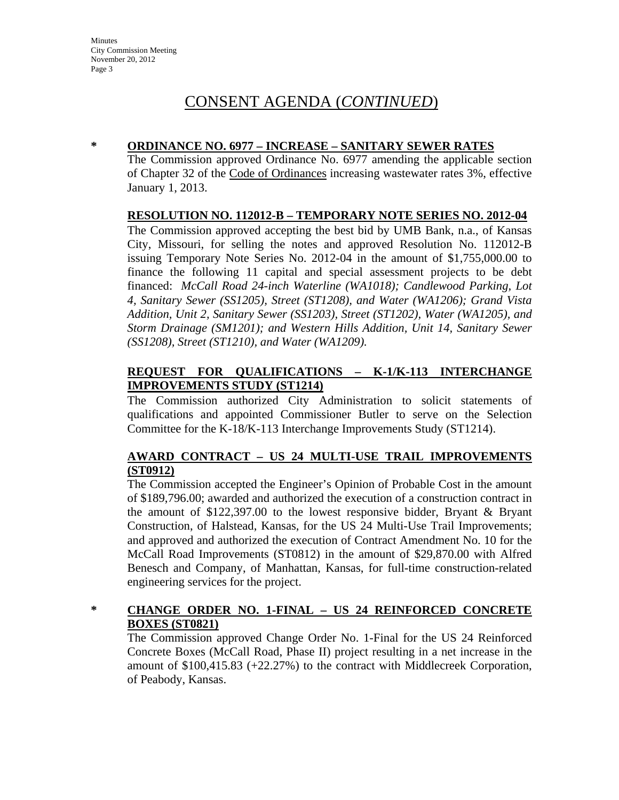### **\* ORDINANCE NO. 6977 – INCREASE – SANITARY SEWER RATES**

The Commission approved Ordinance No. 6977 amending the applicable section of Chapter 32 of the Code of Ordinances increasing wastewater rates 3%, effective January 1, 2013.

### **RESOLUTION NO. 112012-B – TEMPORARY NOTE SERIES NO. 2012-04**

The Commission approved accepting the best bid by UMB Bank, n.a., of Kansas City, Missouri, for selling the notes and approved Resolution No. 112012-B issuing Temporary Note Series No. 2012-04 in the amount of \$1,755,000.00 to finance the following 11 capital and special assessment projects to be debt financed: *McCall Road 24-inch Waterline (WA1018); Candlewood Parking, Lot 4, Sanitary Sewer (SS1205), Street (ST1208), and Water (WA1206); Grand Vista Addition, Unit 2, Sanitary Sewer (SS1203), Street (ST1202), Water (WA1205), and Storm Drainage (SM1201); and Western Hills Addition, Unit 14, Sanitary Sewer (SS1208), Street (ST1210), and Water (WA1209).*

## **REQUEST FOR QUALIFICATIONS – K-1/K-113 INTERCHANGE IMPROVEMENTS STUDY (ST1214)**

The Commission authorized City Administration to solicit statements of qualifications and appointed Commissioner Butler to serve on the Selection Committee for the K-18/K-113 Interchange Improvements Study (ST1214).

## **AWARD CONTRACT – US 24 MULTI-USE TRAIL IMPROVEMENTS (ST0912)**

The Commission accepted the Engineer's Opinion of Probable Cost in the amount of \$189,796.00; awarded and authorized the execution of a construction contract in the amount of \$122,397.00 to the lowest responsive bidder, Bryant & Bryant Construction, of Halstead, Kansas, for the US 24 Multi-Use Trail Improvements; and approved and authorized the execution of Contract Amendment No. 10 for the McCall Road Improvements (ST0812) in the amount of \$29,870.00 with Alfred Benesch and Company, of Manhattan, Kansas, for full-time construction-related engineering services for the project.

## **\* CHANGE ORDER NO. 1-FINAL – US 24 REINFORCED CONCRETE BOXES (ST0821)**

The Commission approved Change Order No. 1-Final for the US 24 Reinforced Concrete Boxes (McCall Road, Phase II) project resulting in a net increase in the amount of \$100,415.83 (+22.27%) to the contract with Middlecreek Corporation, of Peabody, Kansas.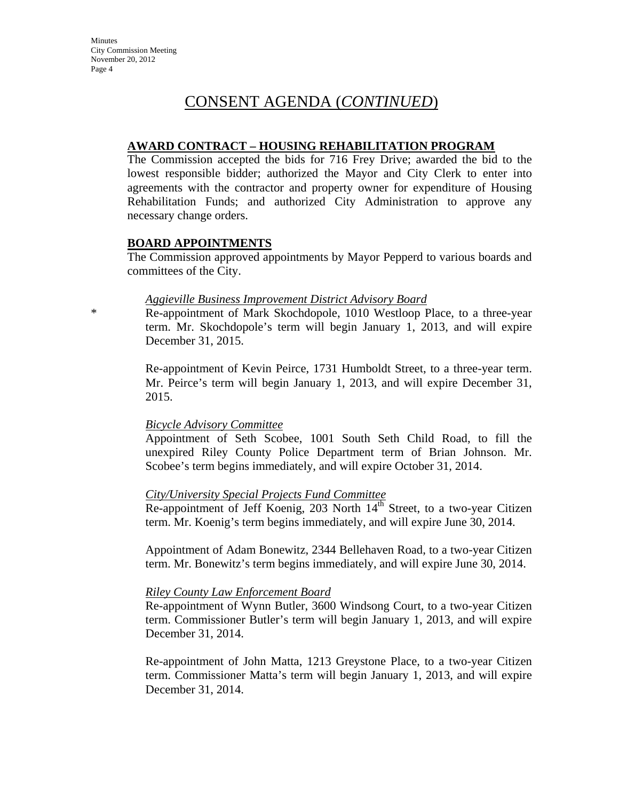#### **AWARD CONTRACT – HOUSING REHABILITATION PROGRAM**

The Commission accepted the bids for 716 Frey Drive; awarded the bid to the lowest responsible bidder; authorized the Mayor and City Clerk to enter into agreements with the contractor and property owner for expenditure of Housing Rehabilitation Funds; and authorized City Administration to approve any necessary change orders.

### **BOARD APPOINTMENTS**

The Commission approved appointments by Mayor Pepperd to various boards and committees of the City.

#### *Aggieville Business Improvement District Advisory Board*

\* Re-appointment of Mark Skochdopole, 1010 Westloop Place, to a three-year term. Mr. Skochdopole's term will begin January 1, 2013, and will expire December 31, 2015.

> Re-appointment of Kevin Peirce, 1731 Humboldt Street, to a three-year term. Mr. Peirce's term will begin January 1, 2013, and will expire December 31, 2015.

#### *Bicycle Advisory Committee*

Appointment of Seth Scobee, 1001 South Seth Child Road, to fill the unexpired Riley County Police Department term of Brian Johnson. Mr. Scobee's term begins immediately, and will expire October 31, 2014.

#### *City/University Special Projects Fund Committee*

Re-appointment of Jeff Koenig, 203 North  $14<sup>th</sup>$  Street, to a two-year Citizen term. Mr. Koenig's term begins immediately, and will expire June 30, 2014.

Appointment of Adam Bonewitz, 2344 Bellehaven Road, to a two-year Citizen term. Mr. Bonewitz's term begins immediately, and will expire June 30, 2014.

#### *Riley County Law Enforcement Board*

Re-appointment of Wynn Butler, 3600 Windsong Court, to a two-year Citizen term. Commissioner Butler's term will begin January 1, 2013, and will expire December 31, 2014.

Re-appointment of John Matta, 1213 Greystone Place, to a two-year Citizen term. Commissioner Matta's term will begin January 1, 2013, and will expire December 31, 2014.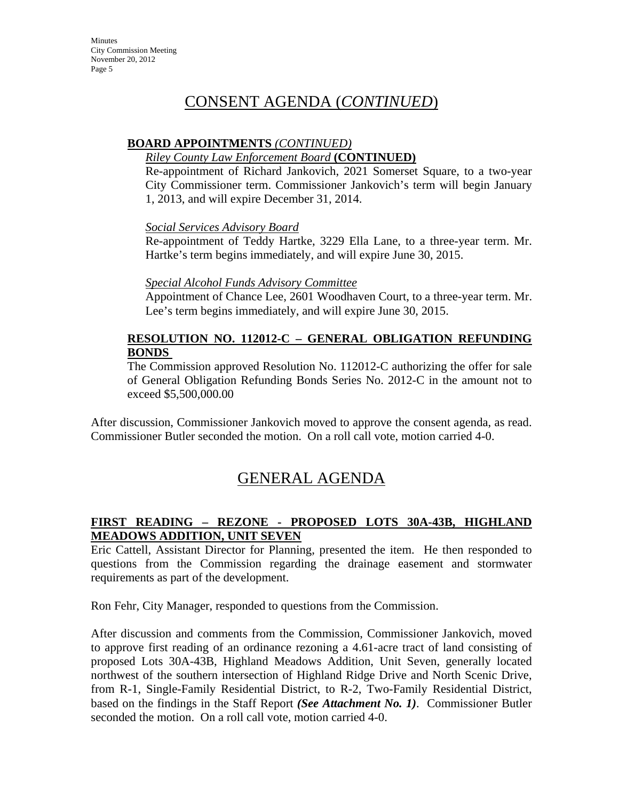## **BOARD APPOINTMENTS** *(CONTINUED)*

## *Riley County Law Enforcement Board* **(CONTINUED)**

Re-appointment of Richard Jankovich, 2021 Somerset Square, to a two-year City Commissioner term. Commissioner Jankovich's term will begin January 1, 2013, and will expire December 31, 2014.

### *Social Services Advisory Board*

Re-appointment of Teddy Hartke, 3229 Ella Lane, to a three-year term. Mr. Hartke's term begins immediately, and will expire June 30, 2015.

### *Special Alcohol Funds Advisory Committee*

Appointment of Chance Lee, 2601 Woodhaven Court, to a three-year term. Mr. Lee's term begins immediately, and will expire June 30, 2015.

## **RESOLUTION NO. 112012-C – GENERAL OBLIGATION REFUNDING BONDS**

The Commission approved Resolution No. 112012-C authorizing the offer for sale of General Obligation Refunding Bonds Series No. 2012-C in the amount not to exceed \$5,500,000.00

After discussion, Commissioner Jankovich moved to approve the consent agenda, as read. Commissioner Butler seconded the motion. On a roll call vote, motion carried 4-0.

# GENERAL AGENDA

## **FIRST READING – REZONE - PROPOSED LOTS 30A-43B, HIGHLAND MEADOWS ADDITION, UNIT SEVEN**

Eric Cattell, Assistant Director for Planning, presented the item. He then responded to questions from the Commission regarding the drainage easement and stormwater requirements as part of the development.

Ron Fehr, City Manager, responded to questions from the Commission.

After discussion and comments from the Commission, Commissioner Jankovich, moved to approve first reading of an ordinance rezoning a 4.61-acre tract of land consisting of proposed Lots 30A-43B, Highland Meadows Addition, Unit Seven, generally located northwest of the southern intersection of Highland Ridge Drive and North Scenic Drive, from R-1, Single-Family Residential District, to R-2, Two-Family Residential District, based on the findings in the Staff Report *(See Attachment No. 1)*. Commissioner Butler seconded the motion. On a roll call vote, motion carried 4-0.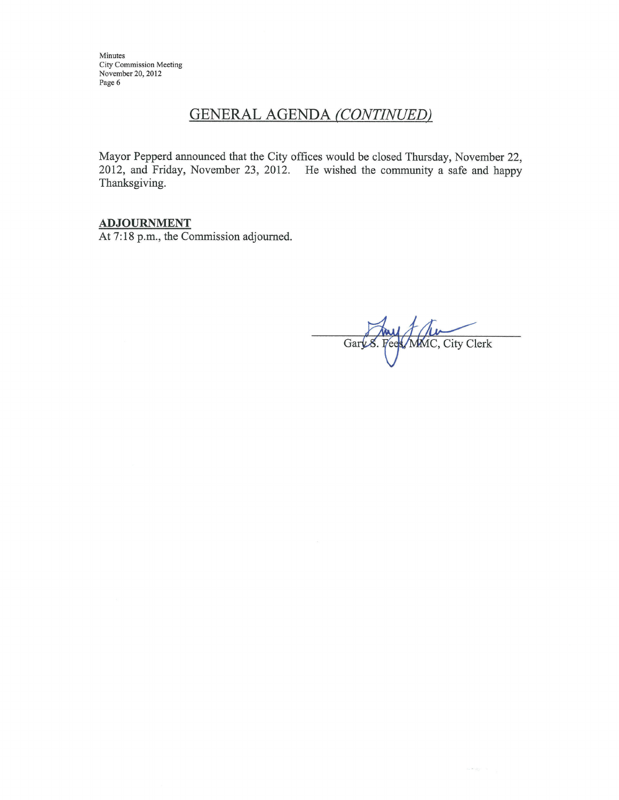Minutes City Commission Meeting<br>November 20, 2012 Page 6

## **GENERAL AGENDA (CONTINUED)**

Mayor Pepperd announced that the City offices would be closed Thursday, November 22, 2012, and Friday, November 23, 2012. He wished the community a safe and happy Thanksgiving.

### **ADJOURNMENT**

At 7:18 p.m., the Commission adjourned.

Gary 8. Fees, MMC, City Clerk

 $\label{eq:1.1} \mathcal{V}_{\text{int}}\left(\mathbf{K}\right)\frac{\partial \mathcal{V}_{\text{int}}}{\partial \mathcal{V}_{\text{eff}}}\right) = -\mathcal{V}_{\text{eff}}$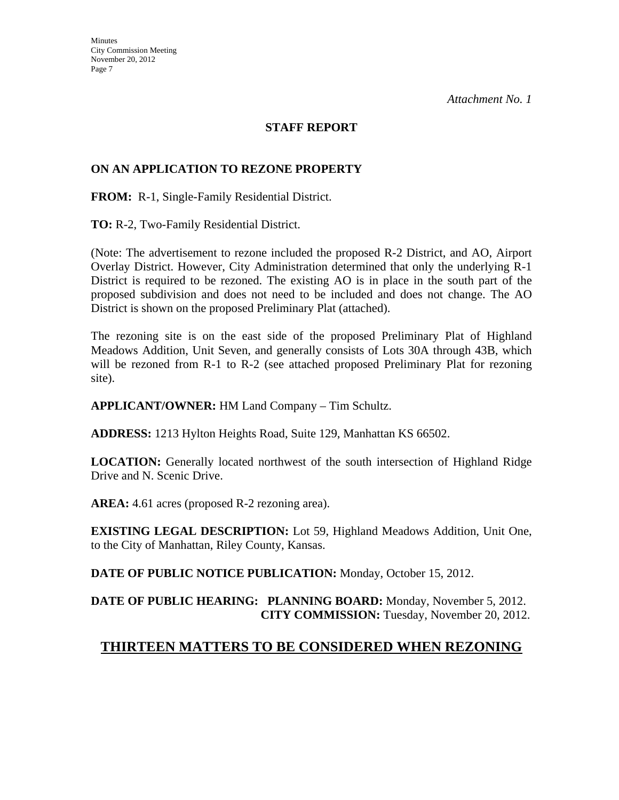### **STAFF REPORT**

### **ON AN APPLICATION TO REZONE PROPERTY**

**FROM:** R-1, Single-Family Residential District.

**TO:** R-2, Two-Family Residential District.

(Note: The advertisement to rezone included the proposed R-2 District, and AO, Airport Overlay District. However, City Administration determined that only the underlying R-1 District is required to be rezoned. The existing AO is in place in the south part of the proposed subdivision and does not need to be included and does not change. The AO District is shown on the proposed Preliminary Plat (attached).

The rezoning site is on the east side of the proposed Preliminary Plat of Highland Meadows Addition, Unit Seven, and generally consists of Lots 30A through 43B, which will be rezoned from R-1 to R-2 (see attached proposed Preliminary Plat for rezoning site).

**APPLICANT/OWNER:** HM Land Company – Tim Schultz.

**ADDRESS:** 1213 Hylton Heights Road, Suite 129, Manhattan KS 66502.

**LOCATION:** Generally located northwest of the south intersection of Highland Ridge Drive and N. Scenic Drive.

**AREA:** 4.61 acres (proposed R-2 rezoning area).

**EXISTING LEGAL DESCRIPTION:** Lot 59, Highland Meadows Addition, Unit One, to the City of Manhattan, Riley County, Kansas.

**DATE OF PUBLIC NOTICE PUBLICATION:** Monday, October 15, 2012.

**DATE OF PUBLIC HEARING: PLANNING BOARD:** Monday, November 5, 2012. **CITY COMMISSION:** Tuesday, November 20, 2012.

## **THIRTEEN MATTERS TO BE CONSIDERED WHEN REZONING**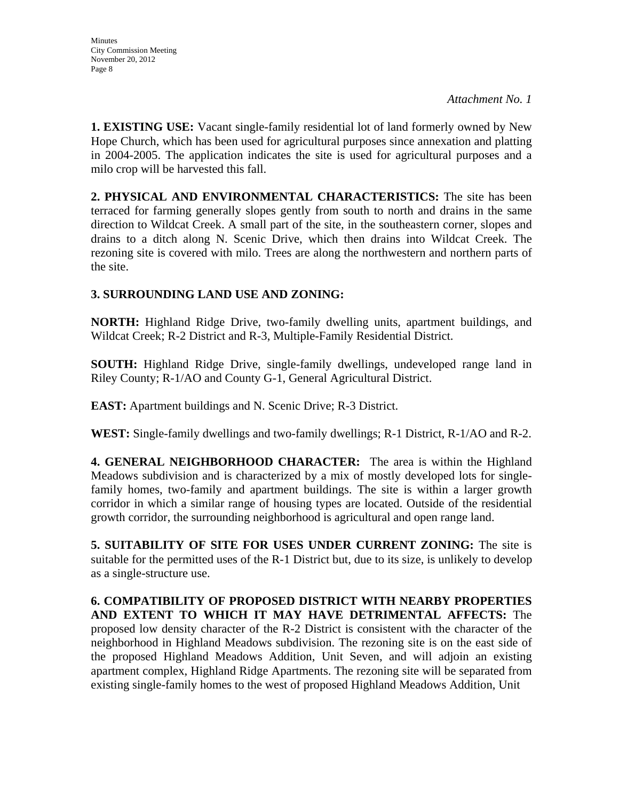**1. EXISTING USE:** Vacant single-family residential lot of land formerly owned by New Hope Church, which has been used for agricultural purposes since annexation and platting in 2004-2005. The application indicates the site is used for agricultural purposes and a milo crop will be harvested this fall.

**2. PHYSICAL AND ENVIRONMENTAL CHARACTERISTICS:** The site has been terraced for farming generally slopes gently from south to north and drains in the same direction to Wildcat Creek. A small part of the site, in the southeastern corner, slopes and drains to a ditch along N. Scenic Drive, which then drains into Wildcat Creek. The rezoning site is covered with milo. Trees are along the northwestern and northern parts of the site.

## **3. SURROUNDING LAND USE AND ZONING:**

**NORTH:** Highland Ridge Drive, two-family dwelling units, apartment buildings, and Wildcat Creek; R-2 District and R-3, Multiple-Family Residential District.

**SOUTH:** Highland Ridge Drive, single-family dwellings, undeveloped range land in Riley County; R-1/AO and County G-1, General Agricultural District.

**EAST:** Apartment buildings and N. Scenic Drive; R-3 District.

**WEST:** Single-family dwellings and two-family dwellings; R-1 District, R-1/AO and R-2.

**4. GENERAL NEIGHBORHOOD CHARACTER:** The area is within the Highland Meadows subdivision and is characterized by a mix of mostly developed lots for singlefamily homes, two-family and apartment buildings. The site is within a larger growth corridor in which a similar range of housing types are located. Outside of the residential growth corridor, the surrounding neighborhood is agricultural and open range land.

**5. SUITABILITY OF SITE FOR USES UNDER CURRENT ZONING:** The site is suitable for the permitted uses of the R-1 District but, due to its size, is unlikely to develop as a single-structure use.

**6. COMPATIBILITY OF PROPOSED DISTRICT WITH NEARBY PROPERTIES AND EXTENT TO WHICH IT MAY HAVE DETRIMENTAL AFFECTS:** The proposed low density character of the R-2 District is consistent with the character of the neighborhood in Highland Meadows subdivision. The rezoning site is on the east side of the proposed Highland Meadows Addition, Unit Seven, and will adjoin an existing apartment complex, Highland Ridge Apartments. The rezoning site will be separated from existing single-family homes to the west of proposed Highland Meadows Addition, Unit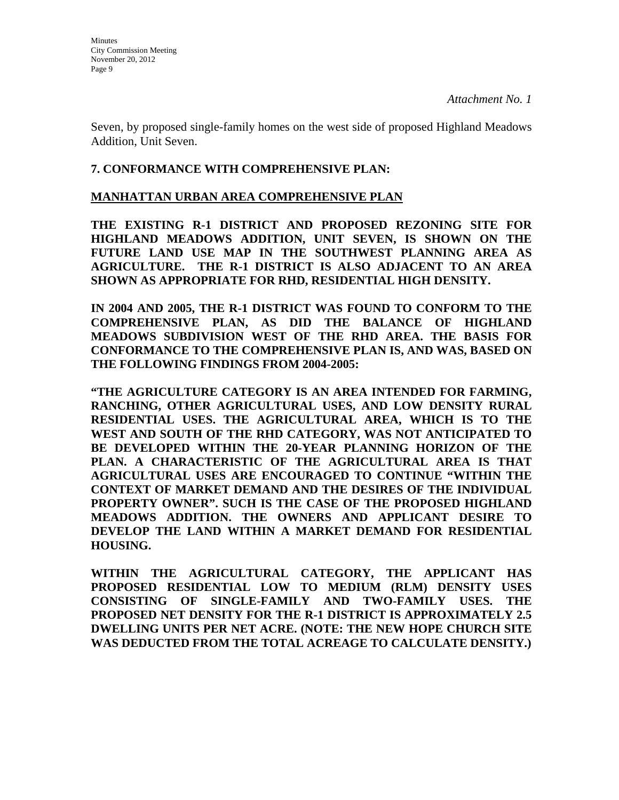Seven, by proposed single-family homes on the west side of proposed Highland Meadows Addition, Unit Seven.

### **7. CONFORMANCE WITH COMPREHENSIVE PLAN:**

#### **MANHATTAN URBAN AREA COMPREHENSIVE PLAN**

**THE EXISTING R-1 DISTRICT AND PROPOSED REZONING SITE FOR HIGHLAND MEADOWS ADDITION, UNIT SEVEN, IS SHOWN ON THE FUTURE LAND USE MAP IN THE SOUTHWEST PLANNING AREA AS AGRICULTURE. THE R-1 DISTRICT IS ALSO ADJACENT TO AN AREA SHOWN AS APPROPRIATE FOR RHD, RESIDENTIAL HIGH DENSITY.** 

**IN 2004 AND 2005, THE R-1 DISTRICT WAS FOUND TO CONFORM TO THE COMPREHENSIVE PLAN, AS DID THE BALANCE OF HIGHLAND MEADOWS SUBDIVISION WEST OF THE RHD AREA. THE BASIS FOR CONFORMANCE TO THE COMPREHENSIVE PLAN IS, AND WAS, BASED ON THE FOLLOWING FINDINGS FROM 2004-2005:**

**"THE AGRICULTURE CATEGORY IS AN AREA INTENDED FOR FARMING, RANCHING, OTHER AGRICULTURAL USES, AND LOW DENSITY RURAL RESIDENTIAL USES. THE AGRICULTURAL AREA, WHICH IS TO THE WEST AND SOUTH OF THE RHD CATEGORY, WAS NOT ANTICIPATED TO BE DEVELOPED WITHIN THE 20-YEAR PLANNING HORIZON OF THE PLAN. A CHARACTERISTIC OF THE AGRICULTURAL AREA IS THAT AGRICULTURAL USES ARE ENCOURAGED TO CONTINUE "WITHIN THE CONTEXT OF MARKET DEMAND AND THE DESIRES OF THE INDIVIDUAL PROPERTY OWNER". SUCH IS THE CASE OF THE PROPOSED HIGHLAND MEADOWS ADDITION. THE OWNERS AND APPLICANT DESIRE TO DEVELOP THE LAND WITHIN A MARKET DEMAND FOR RESIDENTIAL HOUSING.**

**WITHIN THE AGRICULTURAL CATEGORY, THE APPLICANT HAS PROPOSED RESIDENTIAL LOW TO MEDIUM (RLM) DENSITY USES CONSISTING OF SINGLE-FAMILY AND TWO-FAMILY USES. THE PROPOSED NET DENSITY FOR THE R-1 DISTRICT IS APPROXIMATELY 2.5 DWELLING UNITS PER NET ACRE. (NOTE: THE NEW HOPE CHURCH SITE WAS DEDUCTED FROM THE TOTAL ACREAGE TO CALCULATE DENSITY.)**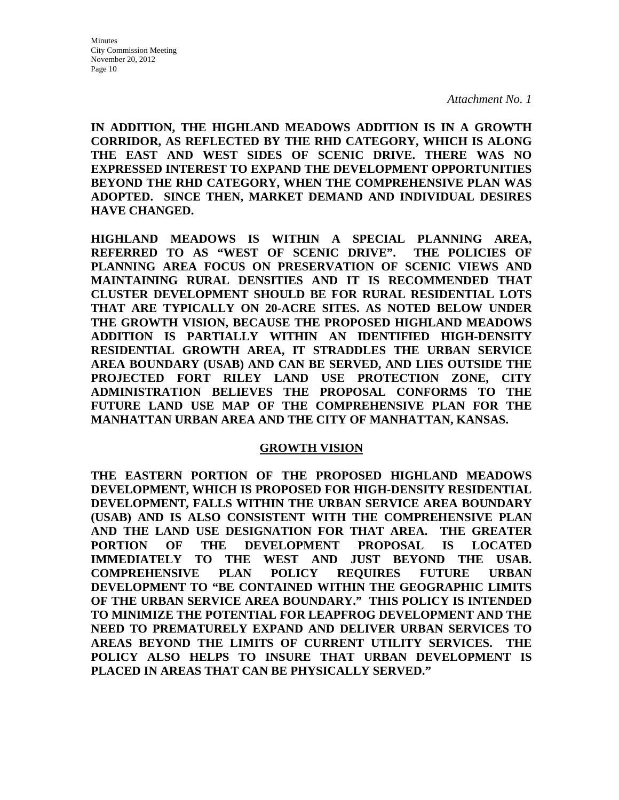**IN ADDITION, THE HIGHLAND MEADOWS ADDITION IS IN A GROWTH CORRIDOR, AS REFLECTED BY THE RHD CATEGORY, WHICH IS ALONG THE EAST AND WEST SIDES OF SCENIC DRIVE. THERE WAS NO EXPRESSED INTEREST TO EXPAND THE DEVELOPMENT OPPORTUNITIES BEYOND THE RHD CATEGORY, WHEN THE COMPREHENSIVE PLAN WAS ADOPTED. SINCE THEN, MARKET DEMAND AND INDIVIDUAL DESIRES HAVE CHANGED.**

**HIGHLAND MEADOWS IS WITHIN A SPECIAL PLANNING AREA, REFERRED TO AS "WEST OF SCENIC DRIVE". THE POLICIES OF PLANNING AREA FOCUS ON PRESERVATION OF SCENIC VIEWS AND MAINTAINING RURAL DENSITIES AND IT IS RECOMMENDED THAT CLUSTER DEVELOPMENT SHOULD BE FOR RURAL RESIDENTIAL LOTS THAT ARE TYPICALLY ON 20-ACRE SITES. AS NOTED BELOW UNDER THE GROWTH VISION, BECAUSE THE PROPOSED HIGHLAND MEADOWS ADDITION IS PARTIALLY WITHIN AN IDENTIFIED HIGH-DENSITY RESIDENTIAL GROWTH AREA, IT STRADDLES THE URBAN SERVICE AREA BOUNDARY (USAB) AND CAN BE SERVED, AND LIES OUTSIDE THE PROJECTED FORT RILEY LAND USE PROTECTION ZONE, CITY ADMINISTRATION BELIEVES THE PROPOSAL CONFORMS TO THE FUTURE LAND USE MAP OF THE COMPREHENSIVE PLAN FOR THE MANHATTAN URBAN AREA AND THE CITY OF MANHATTAN, KANSAS.** 

#### **GROWTH VISION**

**THE EASTERN PORTION OF THE PROPOSED HIGHLAND MEADOWS DEVELOPMENT, WHICH IS PROPOSED FOR HIGH-DENSITY RESIDENTIAL DEVELOPMENT, FALLS WITHIN THE URBAN SERVICE AREA BOUNDARY (USAB) AND IS ALSO CONSISTENT WITH THE COMPREHENSIVE PLAN AND THE LAND USE DESIGNATION FOR THAT AREA. THE GREATER PORTION OF THE DEVELOPMENT PROPOSAL IS LOCATED IMMEDIATELY TO THE WEST AND JUST BEYOND THE USAB. COMPREHENSIVE PLAN POLICY REQUIRES FUTURE URBAN DEVELOPMENT TO "BE CONTAINED WITHIN THE GEOGRAPHIC LIMITS OF THE URBAN SERVICE AREA BOUNDARY." THIS POLICY IS INTENDED TO MINIMIZE THE POTENTIAL FOR LEAPFROG DEVELOPMENT AND THE NEED TO PREMATURELY EXPAND AND DELIVER URBAN SERVICES TO AREAS BEYOND THE LIMITS OF CURRENT UTILITY SERVICES. THE POLICY ALSO HELPS TO INSURE THAT URBAN DEVELOPMENT IS PLACED IN AREAS THAT CAN BE PHYSICALLY SERVED."**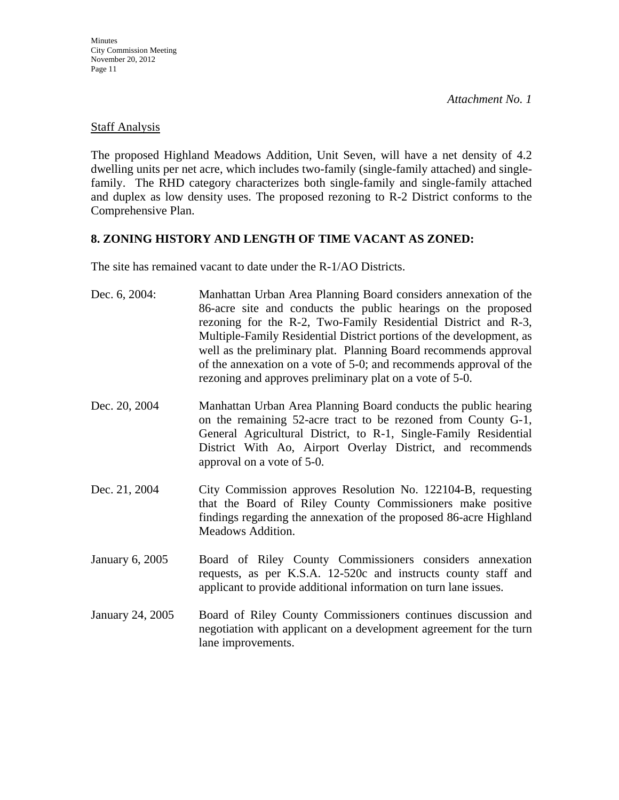## Staff Analysis

The proposed Highland Meadows Addition, Unit Seven, will have a net density of 4.2 dwelling units per net acre, which includes two-family (single-family attached) and singlefamily. The RHD category characterizes both single-family and single-family attached and duplex as low density uses. The proposed rezoning to R-2 District conforms to the Comprehensive Plan.

## **8. ZONING HISTORY AND LENGTH OF TIME VACANT AS ZONED:**

The site has remained vacant to date under the R-1/AO Districts.

| Dec. 6, 2004:    | Manhattan Urban Area Planning Board considers annexation of the<br>86-acre site and conducts the public hearings on the proposed<br>rezoning for the R-2, Two-Family Residential District and R-3,<br>Multiple-Family Residential District portions of the development, as<br>well as the preliminary plat. Planning Board recommends approval<br>of the annexation on a vote of 5-0; and recommends approval of the<br>rezoning and approves preliminary plat on a vote of 5-0. |
|------------------|----------------------------------------------------------------------------------------------------------------------------------------------------------------------------------------------------------------------------------------------------------------------------------------------------------------------------------------------------------------------------------------------------------------------------------------------------------------------------------|
| Dec. 20, 2004    | Manhattan Urban Area Planning Board conducts the public hearing<br>on the remaining 52-acre tract to be rezoned from County G-1,<br>General Agricultural District, to R-1, Single-Family Residential<br>District With Ao, Airport Overlay District, and recommends<br>approval on a vote of 5-0.                                                                                                                                                                                 |
| Dec. 21, 2004    | City Commission approves Resolution No. 122104-B, requesting<br>that the Board of Riley County Commissioners make positive<br>findings regarding the annexation of the proposed 86-acre Highland<br>Meadows Addition.                                                                                                                                                                                                                                                            |
| January 6, 2005  | Board of Riley County Commissioners considers annexation<br>requests, as per K.S.A. 12-520c and instructs county staff and<br>applicant to provide additional information on turn lane issues.                                                                                                                                                                                                                                                                                   |
| January 24, 2005 | Board of Riley County Commissioners continues discussion and<br>negotiation with applicant on a development agreement for the turn<br>lane improvements.                                                                                                                                                                                                                                                                                                                         |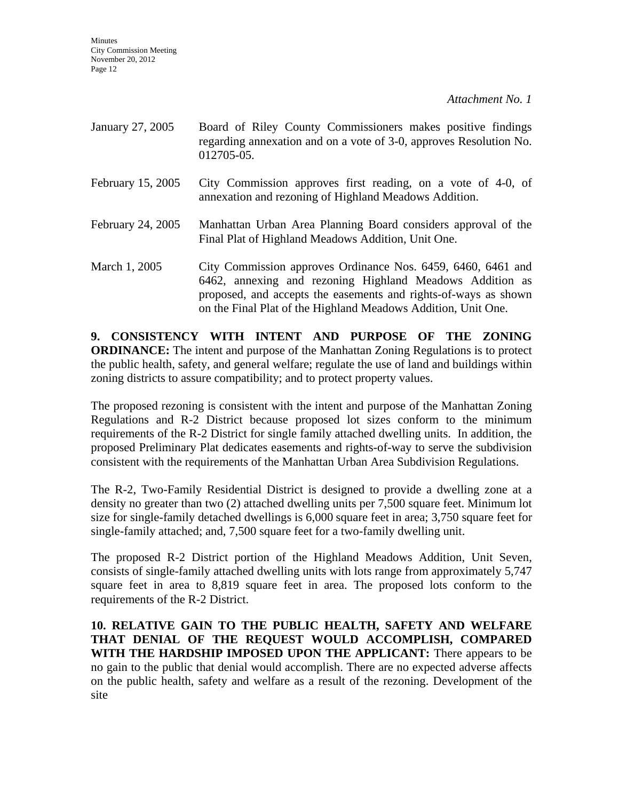**Minutes** City Commission Meeting November 20, 2012 Page 12

*Attachment No. 1* 

| January 27, 2005  | Board of Riley County Commissioners makes positive findings<br>regarding annexation and on a vote of 3-0, approves Resolution No.<br>012705-05.                                                                                                              |
|-------------------|--------------------------------------------------------------------------------------------------------------------------------------------------------------------------------------------------------------------------------------------------------------|
| February 15, 2005 | City Commission approves first reading, on a vote of 4-0, of<br>annexation and rezoning of Highland Meadows Addition.                                                                                                                                        |
| February 24, 2005 | Manhattan Urban Area Planning Board considers approval of the<br>Final Plat of Highland Meadows Addition, Unit One.                                                                                                                                          |
| March 1, 2005     | City Commission approves Ordinance Nos. 6459, 6460, 6461 and<br>6462, annexing and rezoning Highland Meadows Addition as<br>proposed, and accepts the easements and rights-of-ways as shown<br>on the Final Plat of the Highland Meadows Addition, Unit One. |

**9. CONSISTENCY WITH INTENT AND PURPOSE OF THE ZONING ORDINANCE:** The intent and purpose of the Manhattan Zoning Regulations is to protect the public health, safety, and general welfare; regulate the use of land and buildings within zoning districts to assure compatibility; and to protect property values.

The proposed rezoning is consistent with the intent and purpose of the Manhattan Zoning Regulations and R-2 District because proposed lot sizes conform to the minimum requirements of the R-2 District for single family attached dwelling units. In addition, the proposed Preliminary Plat dedicates easements and rights-of-way to serve the subdivision consistent with the requirements of the Manhattan Urban Area Subdivision Regulations.

The R-2, Two-Family Residential District is designed to provide a dwelling zone at a density no greater than two (2) attached dwelling units per 7,500 square feet. Minimum lot size for single-family detached dwellings is 6,000 square feet in area; 3,750 square feet for single-family attached; and, 7,500 square feet for a two-family dwelling unit.

The proposed R-2 District portion of the Highland Meadows Addition, Unit Seven, consists of single-family attached dwelling units with lots range from approximately 5,747 square feet in area to 8,819 square feet in area. The proposed lots conform to the requirements of the R-2 District.

**10. RELATIVE GAIN TO THE PUBLIC HEALTH, SAFETY AND WELFARE THAT DENIAL OF THE REQUEST WOULD ACCOMPLISH, COMPARED WITH THE HARDSHIP IMPOSED UPON THE APPLICANT:** There appears to be no gain to the public that denial would accomplish. There are no expected adverse affects on the public health, safety and welfare as a result of the rezoning. Development of the site